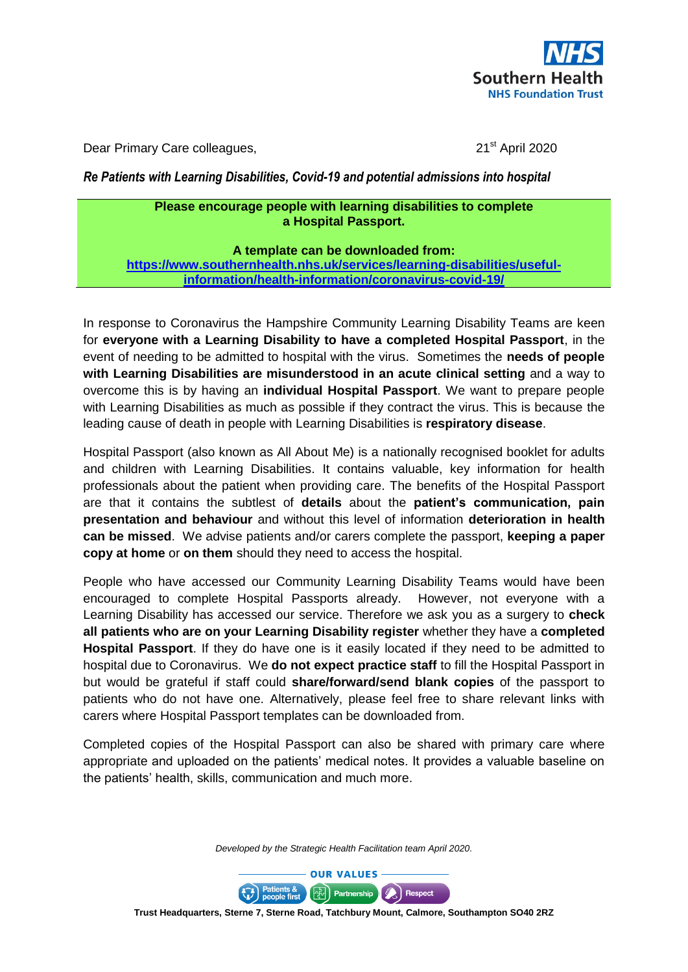

Dear Primary Care colleagues, 21<sup>st</sup> April 2020

## *Re Patients with Learning Disabilities, Covid-19 and potential admissions into hospital*

## **Please encourage people with learning disabilities to complete a Hospital Passport.**

**A template can be downloaded from:** 

**[https://www.southernhealth.nhs.uk/services/learning-disabilities/useful](https://www.southernhealth.nhs.uk/services/learning-disabilities/useful-information/health-information/coronavirus-covid-19/)[information/health-information/coronavirus-covid-19/](https://www.southernhealth.nhs.uk/services/learning-disabilities/useful-information/health-information/coronavirus-covid-19/)**

In response to Coronavirus the Hampshire Community Learning Disability Teams are keen for **everyone with a Learning Disability to have a completed Hospital Passport**, in the event of needing to be admitted to hospital with the virus. Sometimes the **needs of people with Learning Disabilities are misunderstood in an acute clinical setting** and a way to overcome this is by having an **individual Hospital Passport**. We want to prepare people with Learning Disabilities as much as possible if they contract the virus. This is because the leading cause of death in people with Learning Disabilities is **respiratory disease**.

Hospital Passport (also known as All About Me) is a nationally recognised booklet for adults and children with Learning Disabilities. It contains valuable, key information for health professionals about the patient when providing care. The benefits of the Hospital Passport are that it contains the subtlest of **details** about the **patient's communication, pain presentation and behaviour** and without this level of information **deterioration in health can be missed**. We advise patients and/or carers complete the passport, **keeping a paper copy at home** or **on them** should they need to access the hospital.

People who have accessed our Community Learning Disability Teams would have been encouraged to complete Hospital Passports already. However, not everyone with a Learning Disability has accessed our service. Therefore we ask you as a surgery to **check all patients who are on your Learning Disability register** whether they have a **completed Hospital Passport**. If they do have one is it easily located if they need to be admitted to hospital due to Coronavirus. We **do not expect practice staff** to fill the Hospital Passport in but would be grateful if staff could **share/forward/send blank copies** of the passport to patients who do not have one. Alternatively, please feel free to share relevant links with carers where Hospital Passport templates can be downloaded from.

Completed copies of the Hospital Passport can also be shared with primary care where appropriate and uploaded on the patients' medical notes. It provides a valuable baseline on the patients' health, skills, communication and much more.

*Developed by the Strategic Health Facilitation team April 2020.*



**Trust Headquarters, Sterne 7, Sterne Road, Tatchbury Mount, Calmore, Southampton SO40 2RZ**